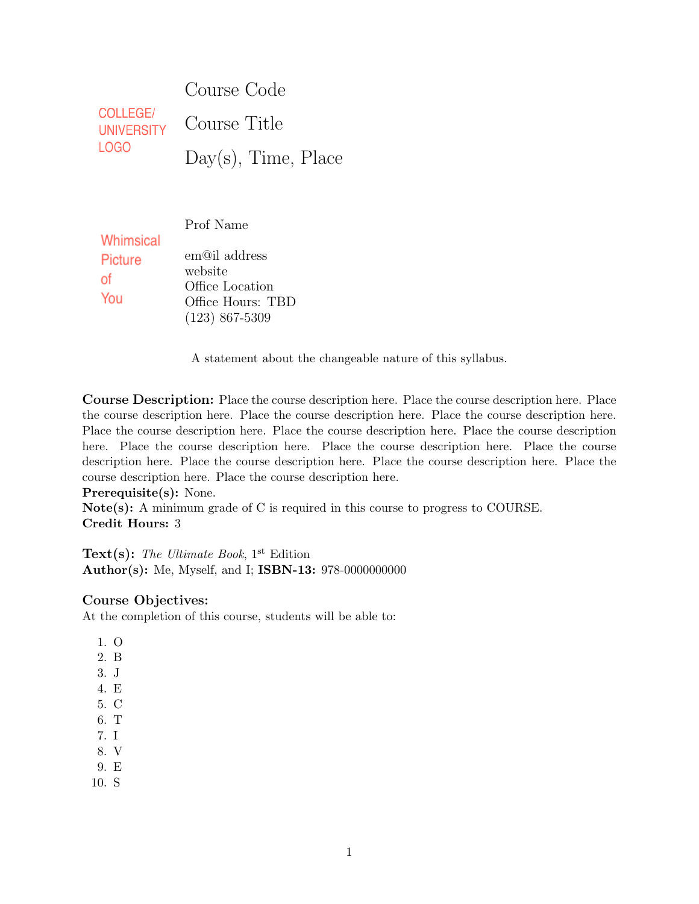|                                      | Course Code            |
|--------------------------------------|------------------------|
| <b>COLLEGE/</b><br><b>UNIVERSITY</b> | Course Title           |
| LOGO                                 | $Day(s)$ , Time, Place |

Prof Name

| <u></u> |                   |
|---------|-------------------|
| Picture | em@il address     |
| οf      | website           |
|         | Office Location   |
| You     | Office Hours: TBD |
|         | $(123)$ 867-5309  |

A statement about the changeable nature of this syllabus.

Course Description: Place the course description here. Place the course description here. Place the course description here. Place the course description here. Place the course description here. Place the course description here. Place the course description here. Place the course description here. Place the course description here. Place the course description here. Place the course description here. Place the course description here. Place the course description here. Place the course description here. Place the course description here.

Prerequisite(s): None.

**Whimsical** 

Note(s): A minimum grade of C is required in this course to progress to COURSE. Credit Hours: 3

Text(s): The Ultimate Book,  $1<sup>st</sup>$  Edition Author(s): Me, Myself, and I; ISBN-13: 978-0000000000

## Course Objectives:

At the completion of this course, students will be able to:

- 1. O
- 2. B
- 3. J
- 4. E
- 5. C
- 6. T
- 7. I
- 8. V
- 9. E
- 10. S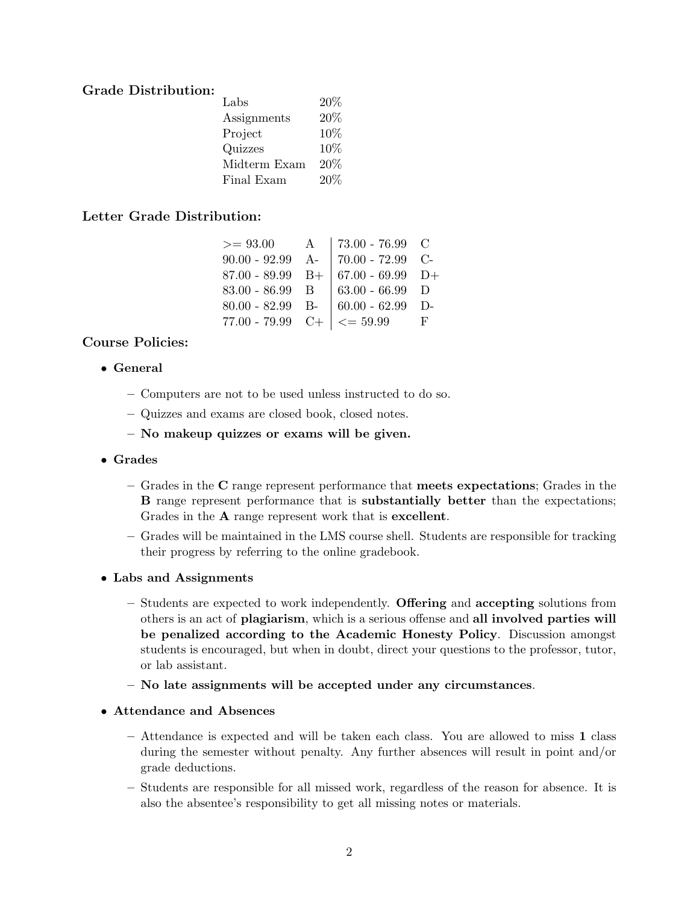## Grade Distribution:

| Labs         | 20% |
|--------------|-----|
| Assignments  | 20% |
| Project      | 10% |
| Quizzes      | 10% |
| Midterm Exam | 20% |
| Final Exam   | 20% |

# Letter Grade Distribution:

| $>= 93.00$        | $\mathbf{A}$ | 73.00 - 76.99 $\,$ C                               |     |
|-------------------|--------------|----------------------------------------------------|-----|
|                   |              | $90.00 - 92.99$ A- 70.00 - 72.99 C-                |     |
|                   |              | 87.00 - 89.99 B+ $\vert$ 67.00 - 69.99 D+          |     |
| $83.00 - 86.99$ B |              | $  63.00 - 66.99   D$                              |     |
|                   |              | 80.00 - 82.99 B- $\vert$ 60.00 - 62.99 D-          |     |
|                   |              | $77.00 - 79.99$ C+ $\vert \langle = 59.99 \rangle$ | ਾਦਿ |

# Course Policies:

- General
	- Computers are not to be used unless instructed to do so.
	- Quizzes and exams are closed book, closed notes.
	- No makeup quizzes or exams will be given.
- Grades
	- Grades in the C range represent performance that meets expectations; Grades in the B range represent performance that is substantially better than the expectations; Grades in the A range represent work that is excellent.
	- Grades will be maintained in the LMS course shell. Students are responsible for tracking their progress by referring to the online gradebook.
- Labs and Assignments
	- Students are expected to work independently. Offering and accepting solutions from others is an act of plagiarism, which is a serious offense and all involved parties will be penalized according to the Academic Honesty Policy. Discussion amongst students is encouraged, but when in doubt, direct your questions to the professor, tutor, or lab assistant.
	- No late assignments will be accepted under any circumstances.
- Attendance and Absences
	- Attendance is expected and will be taken each class. You are allowed to miss 1 class during the semester without penalty. Any further absences will result in point and/or grade deductions.
	- Students are responsible for all missed work, regardless of the reason for absence. It is also the absentee's responsibility to get all missing notes or materials.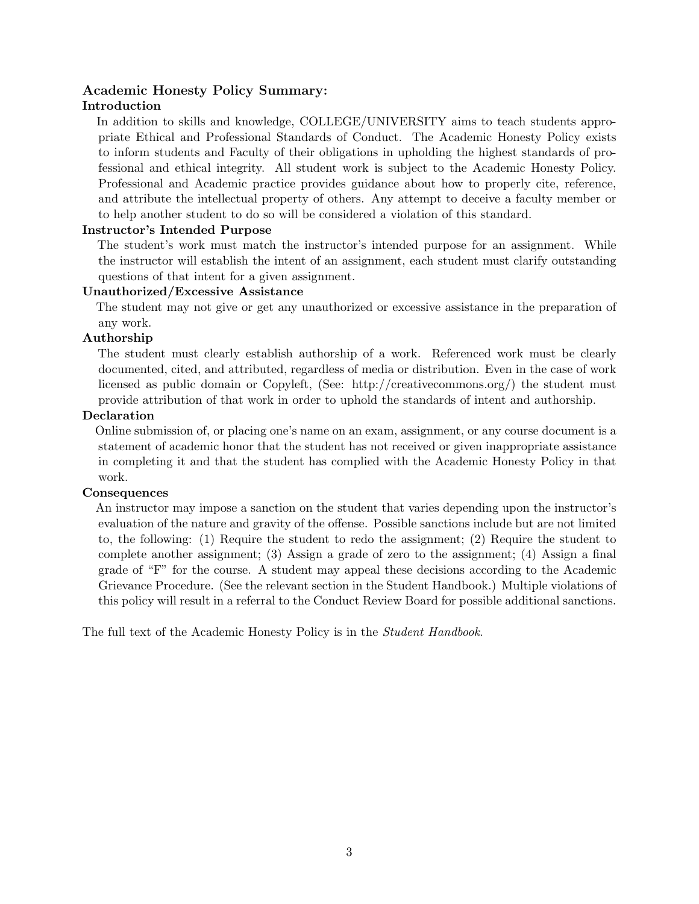# Academic Honesty Policy Summary: Introduction

In addition to skills and knowledge, COLLEGE/UNIVERSITY aims to teach students appropriate Ethical and Professional Standards of Conduct. The Academic Honesty Policy exists to inform students and Faculty of their obligations in upholding the highest standards of professional and ethical integrity. All student work is subject to the Academic Honesty Policy. Professional and Academic practice provides guidance about how to properly cite, reference, and attribute the intellectual property of others. Any attempt to deceive a faculty member or to help another student to do so will be considered a violation of this standard.

#### Instructor's Intended Purpose

The student's work must match the instructor's intended purpose for an assignment. While the instructor will establish the intent of an assignment, each student must clarify outstanding questions of that intent for a given assignment.

#### Unauthorized/Excessive Assistance

The student may not give or get any unauthorized or excessive assistance in the preparation of any work.

#### Authorship

The student must clearly establish authorship of a work. Referenced work must be clearly documented, cited, and attributed, regardless of media or distribution. Even in the case of work licensed as public domain or Copyleft, (See: http://creativecommons.org/) the student must provide attribution of that work in order to uphold the standards of intent and authorship.

#### Declaration

Online submission of, or placing one's name on an exam, assignment, or any course document is a statement of academic honor that the student has not received or given inappropriate assistance in completing it and that the student has complied with the Academic Honesty Policy in that work.

## **Consequences**

An instructor may impose a sanction on the student that varies depending upon the instructor's evaluation of the nature and gravity of the offense. Possible sanctions include but are not limited to, the following: (1) Require the student to redo the assignment; (2) Require the student to complete another assignment; (3) Assign a grade of zero to the assignment; (4) Assign a final grade of "F" for the course. A student may appeal these decisions according to the Academic Grievance Procedure. (See the relevant section in the Student Handbook.) Multiple violations of this policy will result in a referral to the Conduct Review Board for possible additional sanctions.

The full text of the Academic Honesty Policy is in the Student Handbook.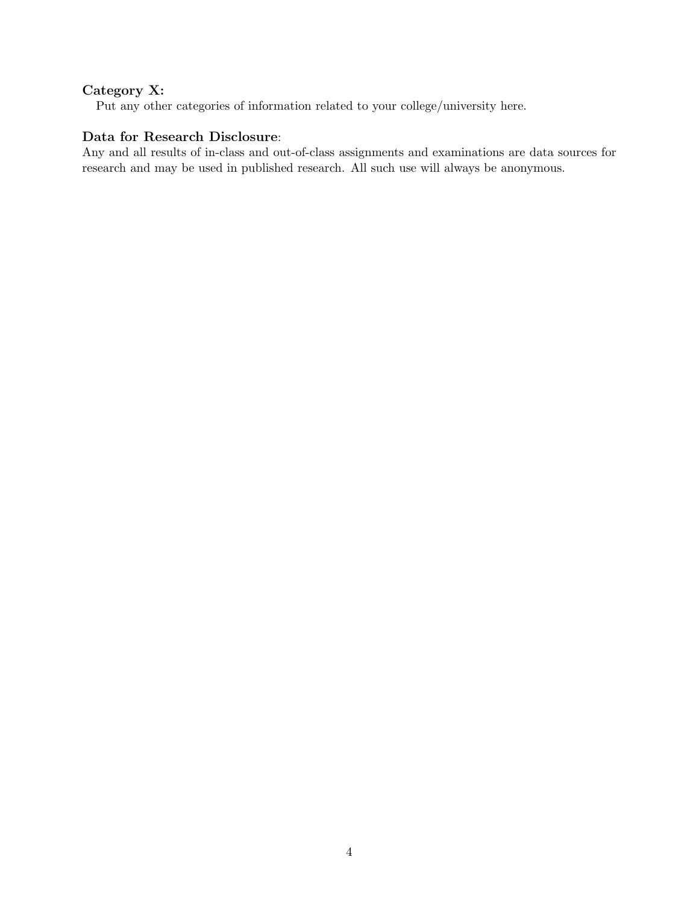# Category X:

Put any other categories of information related to your college/university here.

# Data for Research Disclosure:

Any and all results of in-class and out-of-class assignments and examinations are data sources for research and may be used in published research. All such use will always be anonymous.